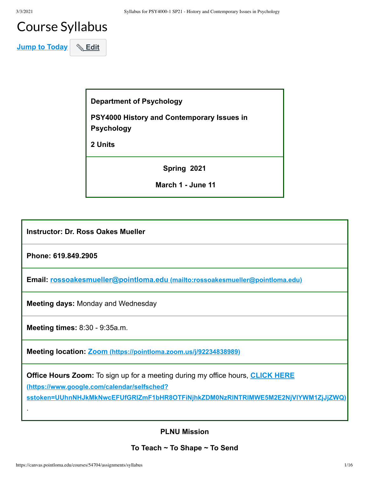# Course Syllabus

**Jump to Today** & Edit

**Department of Psychology** 

**PSY4000 History and Contemporary Issues in Psychology**

**2 Units**

**Spring 2021**

 **March 1 - June 11**

**Instructor: Dr. Ross Oakes Mueller**

**Phone: 619.849.2905**

**Email: rossoakesmueller@pointloma.edu [\(mailto:rossoakesmueller@pointloma.edu\)](mailto:rossoakesmueller@pointloma.edu)**

**Meeting days:** Monday and Wednesday

**(https://www.google.com/calendar/selfsched?**

**Meeting times:** 8:30 - 9:35a.m.

**Meeting location: Zoom [\(https://pointloma.zoom.us/j/92234838989\)](https://pointloma.zoom.us/j/92234838989)**

**Office Hours Zoom:** To sign up for a meeting during my office hours, **CLICK HERE**

**[sstoken=UUhnNHJkMkNwcEFUfGRlZmF1bHR8OTFiNjhkZDM0NzRlNTRlMWE5M2E2NjVlYWM1ZjJjZWQ\)](https://www.google.com/calendar/selfsched?sstoken=UUhnNHJkMkNwcEFUfGRlZmF1bHR8OTFiNjhkZDM0NzRlNTRlMWE5M2E2NjVlYWM1ZjJjZWQ)**

**PLNU Mission**

**To Teach ~ To Shape ~ To Send**

.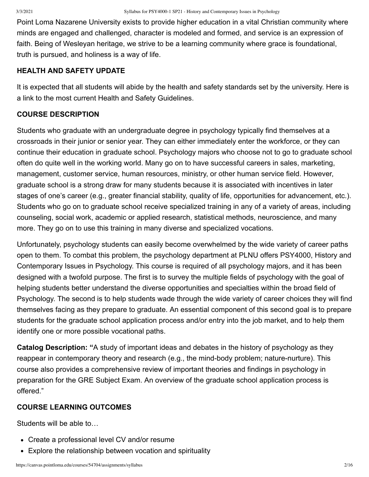Point Loma Nazarene University exists to provide higher education in a vital Christian community where minds are engaged and challenged, character is modeled and formed, and service is an expression of faith. Being of Wesleyan heritage, we strive to be a learning community where grace is foundational, truth is pursued, and holiness is a way of life.

#### **HEALTH AND SAFETY UPDATE**

It is expected that all students will abide by the health and safety standards set by the university. Here is a link to the most current Health and Safety Guidelines.

#### **COURSE DESCRIPTION**

Students who graduate with an undergraduate degree in psychology typically find themselves at a crossroads in their junior or senior year. They can either immediately enter the workforce, or they can continue their education in graduate school. Psychology majors who choose not to go to graduate school often do quite well in the working world. Many go on to have successful careers in sales, marketing, management, customer service, human resources, ministry, or other human service field. However, graduate school is a strong draw for many students because it is associated with incentives in later stages of one's career (e.g., greater financial stability, quality of life, opportunities for advancement, etc.). Students who go on to graduate school receive specialized training in any of a variety of areas, including counseling, social work, academic or applied research, statistical methods, neuroscience, and many more. They go on to use this training in many diverse and specialized vocations.

Unfortunately, psychology students can easily become overwhelmed by the wide variety of career paths open to them. To combat this problem, the psychology department at PLNU offers PSY4000, History and Contemporary Issues in Psychology. This course is required of all psychology majors, and it has been designed with a twofold purpose. The first is to survey the multiple fields of psychology with the goal of helping students better understand the diverse opportunities and specialties within the broad field of Psychology. The second is to help students wade through the wide variety of career choices they will find themselves facing as they prepare to graduate. An essential component of this second goal is to prepare students for the graduate school application process and/or entry into the job market, and to help them identify one or more possible vocational paths.

**Catalog Description: "**A study of important ideas and debates in the history of psychology as they reappear in contemporary theory and research (e.g., the mind-body problem; nature-nurture). This course also provides a comprehensive review of important theories and findings in psychology in preparation for the GRE Subject Exam. An overview of the graduate school application process is offered."

### **COURSE LEARNING OUTCOMES**

Students will be able to…

- Create a professional level CV and/or resume
- Explore the relationship between vocation and spirituality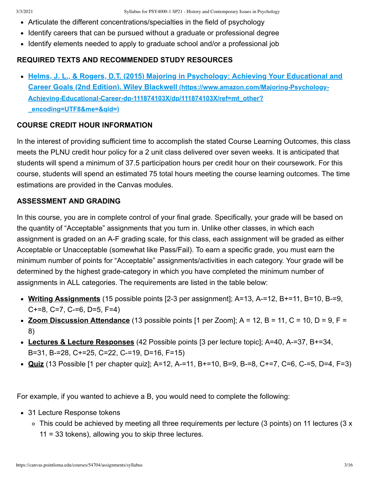- Articulate the different concentrations/specialties in the field of psychology
- Identify careers that can be pursued without a graduate or professional degree
- Identify elements needed to apply to graduate school and/or a professional job

# **REQUIRED TEXTS AND RECOMMENDED STUDY RESOURCES**

**[Helms, J. L., & Rogers, D.T. \(2015\) Majoring in Psychology: Achieving Your Educational and](https://www.amazon.com/Majoring-Psychology-Achieving-Educational-Career-dp-111874103X/dp/111874103X/ref=mt_other?_encoding=UTF8&me=&qid=) Career Goals (2nd Edition). Wiley Blackwell (https://www.amazon.com/Majoring-Psychology-Achieving-Educational-Career-dp-111874103X/dp/111874103X/ref=mt\_other? \_encoding=UTF8&me=&qid=)**

# **COURSE CREDIT HOUR INFORMATION**

In the interest of providing sufficient time to accomplish the stated Course Learning Outcomes, this class meets the PLNU credit hour policy for a 2 unit class delivered over seven weeks. It is anticipated that students will spend a minimum of 37.5 participation hours per credit hour on their coursework. For this course, students will spend an estimated 75 total hours meeting the course learning outcomes. The time estimations are provided in the Canvas modules.

# **ASSESSMENT AND GRADING**

In this course, you are in complete control of your final grade. Specifically, your grade will be based on the quantity of "Acceptable" assignments that you turn in. Unlike other classes, in which each assignment is graded on an A-F grading scale, for this class, each assignment will be graded as either Acceptable or Unacceptable (somewhat like Pass/Fail). To earn a specific grade, you must earn the minimum number of points for "Acceptable" assignments/activities in each category. Your grade will be determined by the highest grade-category in which you have completed the minimum number of assignments in ALL categories. The requirements are listed in the table below:

- **Writing Assignments** (15 possible points [2-3 per assignment]; A=13, A-=12, B+=11, B=10, B-=9, C+=8, C=7, C-=6, D=5, F=4)
- **Zoom Discussion Attendance** (13 possible points  $[1 \text{ per } \text{Zoom}]$ ; A = 12, B = 11, C = 10, D = 9, F = 8)
- **Lectures & Lecture Responses** (42 Possible points [3 per lecture topic]; A=40, A-=37, B+=34, B=31, B-=28, C+=25, C=22, C-=19, D=16, F=15)
- **Quiz** (13 Possible [1 per chapter quiz]; A=12, A-=11, B+=10, B=9, B-=8, C+=7, C=6, C-=5, D=4, F=3)

For example, if you wanted to achieve a B, you would need to complete the following:

- 31 Lecture Response tokens
	- This could be achieved by meeting all three requirements per lecture (3 points) on 11 lectures (3 x 11 = 33 tokens), allowing you to skip three lectures.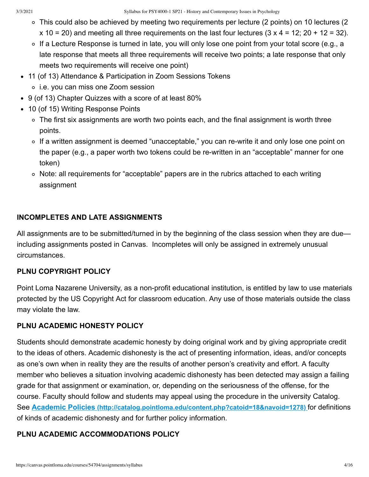- This could also be achieved by meeting two requirements per lecture (2 points) on 10 lectures (2  $x$  10 = 20) and meeting all three requirements on the last four lectures (3 x 4 = 12; 20 + 12 = 32).
- ∘ If a Lecture Response is turned in late, you will only lose one point from your total score (e.g., a late response that meets all three requirements will receive two points; a late response that only meets two requirements will receive one point)
- 11 (of 13) Attendance & Participation in Zoom Sessions Tokens
	- i.e. you can miss one Zoom session
- 9 (of 13) Chapter Quizzes with a score of at least 80%
- 10 (of 15) Writing Response Points
	- The first six assignments are worth two points each, and the final assignment is worth three points.
	- ∘ If a written assignment is deemed "unacceptable," you can re-write it and only lose one point on the paper (e.g., a paper worth two tokens could be re-written in an "acceptable" manner for one token)
	- Note: all requirements for "acceptable" papers are in the rubrics attached to each writing assignment

# **INCOMPLETES AND LATE ASSIGNMENTS**

All assignments are to be submitted/turned in by the beginning of the class session when they are due including assignments posted in Canvas. Incompletes will only be assigned in extremely unusual circumstances.

# **PLNU COPYRIGHT POLICY**

Point Loma Nazarene University, as a non-profit educational institution, is entitled by law to use materials protected by the US Copyright Act for classroom education. Any use of those materials outside the class may violate the law.

# **PLNU ACADEMIC HONESTY POLICY**

Students should demonstrate academic honesty by doing original work and by giving appropriate credit to the ideas of others. Academic dishonesty is the act of presenting information, ideas, and/or concepts as one's own when in reality they are the results of another person's creativity and effort. A faculty member who believes a situation involving academic dishonesty has been detected may assign a failing grade for that assignment or examination, or, depending on the seriousness of the offense, for the course. Faculty should follow and students may appeal using the procedure in the university Catalog. See **Academic Policies [\(http://catalog.pointloma.edu/content.php?catoid=18&navoid=1278\)](http://catalog.pointloma.edu/content.php?catoid=18&navoid=1278)** for definitions of kinds of academic dishonesty and for further policy information.

# **PLNU ACADEMIC ACCOMMODATIONS POLICY**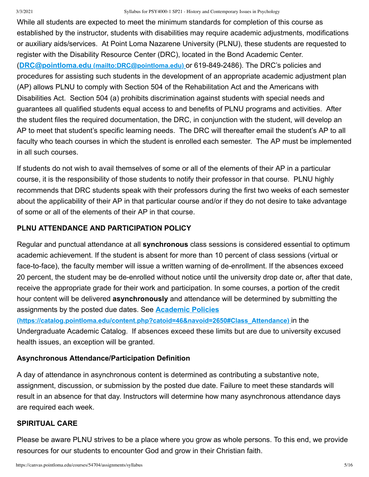#### 3/3/2021 Syllabus for PSY4000-1 SP21 - History and Contemporary Issues in Psychology

While all students are expected to meet the minimum standards for completion of this course as established by the instructor, students with disabilities may require academic adjustments, modifications or auxiliary aids/services. At Point Loma Nazarene University (PLNU), these students are requested to register with the Disability Resource Center (DRC), located in the Bond Academic Center. (**DRC@pointloma.edu [\(mailto:DRC@pointloma.edu\)](mailto:DRC@pointloma.edu)** or 619-849-2486). The DRC's policies and procedures for assisting such students in the development of an appropriate academic adjustment plan (AP) allows PLNU to comply with Section 504 of the Rehabilitation Act and the Americans with Disabilities Act. Section 504 (a) prohibits discrimination against students with special needs and guarantees all qualified students equal access to and benefits of PLNU programs and activities. After the student files the required documentation, the DRC, in conjunction with the student, will develop an AP to meet that student's specific learning needs. The DRC will thereafter email the student's AP to all faculty who teach courses in which the student is enrolled each semester. The AP must be implemented in all such courses.

If students do not wish to avail themselves of some or all of the elements of their AP in a particular course, it is the responsibility of those students to notify their professor in that course. PLNU highly recommends that DRC students speak with their professors during the first two weeks of each semester about the applicability of their AP in that particular course and/or if they do not desire to take advantage of some or all of the elements of their AP in that course.

## **PLNU ATTENDANCE AND PARTICIPATION POLICY**

Regular and punctual attendance at all **synchronous** class sessions is considered essential to optimum academic achievement. If the student is absent for more than 10 percent of class sessions (virtual or face-to-face), the faculty member will issue a written warning of de-enrollment. If the absences exceed 20 percent, the student may be de-enrolled without notice until the university drop date or, after that date, receive the appropriate grade for their work and participation. In some courses, a portion of the credit hour content will be delivered **asynchronously** and attendance will be determined by submitting the assignments by the posted due dates. See **Academic Policies**

**[\(https://catalog.pointloma.edu/content.php?catoid=46&navoid=2650#Class\\_Attendance\)](https://catalog.pointloma.edu/content.php?catoid=46&navoid=2650#Class_Attendance)** in the Undergraduate Academic Catalog. If absences exceed these limits but are due to university excused health issues, an exception will be granted.

### **Asynchronous Attendance/Participation Definition**

A day of attendance in asynchronous content is determined as contributing a substantive note, assignment, discussion, or submission by the posted due date. Failure to meet these standards will result in an absence for that day. Instructors will determine how many asynchronous attendance days are required each week.

### **SPIRITUAL CARE**

Please be aware PLNU strives to be a place where you grow as whole persons. To this end, we provide resources for our students to encounter God and grow in their Christian faith.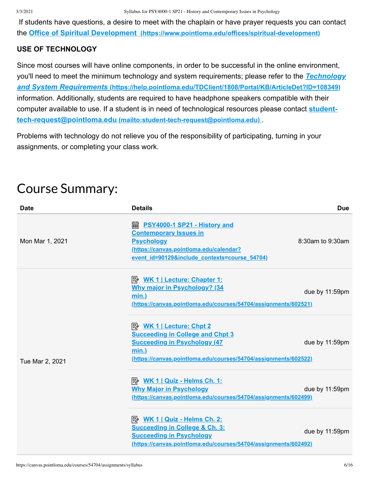If students have questions, a desire to meet with the chaplain or have prayer requests you can contact the **Office of Spiritual Development [\(https://www.pointloma.edu/offices/spiritual-development\)](https://www.pointloma.edu/offices/spiritual-development)**

## **USE OF TECHNOLOGY**

Since most courses will have online components, in order to be successful in the online environment, [you'll need to meet the minimum technology and system requirements; please refer to the](https://help.pointloma.edu/TDClient/1808/Portal/KB/ArticleDet?ID=108349) *Technology and System Requirements* **(https://help.pointloma.edu/TDClient/1808/Portal/KB/ArticleDet?ID=108349)** information. Additionally, students are required to have headphone speakers compatible with their [computer available to use. If a student is in need of technological resources please contact](mailto:student-tech-request@pointloma.edu) **studenttech-request@pointloma.edu (mailto:student-tech-request@pointloma.edu)** .

Problems with technology do not relieve you of the responsibility of participating, turning in your assignments, or completing your class work.

# Course Summary:

| <b>Date</b>     | <b>Details</b>                                                                                                                                                                              | <b>Due</b>             |
|-----------------|---------------------------------------------------------------------------------------------------------------------------------------------------------------------------------------------|------------------------|
| Mon Mar 1, 2021 | <b>A.</b> PSY4000-1 SP21 - History and<br><b>Contemporary Issues in</b><br><b>Psychology</b><br>(https://canvas.pointloma.edu/calendar?<br>event id=90129&include contexts=course 54704)    | $8:30$ am to $9:30$ am |
|                 | <b>Why major in Psychology? (34</b><br>$min.$ )<br>(https://canvas.pointloma.edu/courses/54704/assignments/602521)                                                                          | due by 11:59pm         |
| Tue Mar 2, 2021 | <b>Succeeding in College and Chpt 3</b><br><b>Succeeding in Psychology (47)</b><br><u>min.)</u><br>(https://canvas.pointloma.edu/courses/54704/assignments/602522)                          | due by 11:59pm         |
|                 | $\mathbb{R}$ WK 1   Quiz - Helms Ch. 1:<br><b>Why Major in Psychology</b><br>(https://canvas.pointloma.edu/courses/54704/assignments/602499)                                                | due by 11:59pm         |
|                 | $\Rightarrow$ WK 1   Quiz - Helms Ch. 2:<br><b>Succeeding in College &amp; Ch. 3:</b><br><b>Succeeding in Psychology</b><br>(https://canvas.pointloma.edu/courses/54704/assignments/602492) | due by 11:59pm         |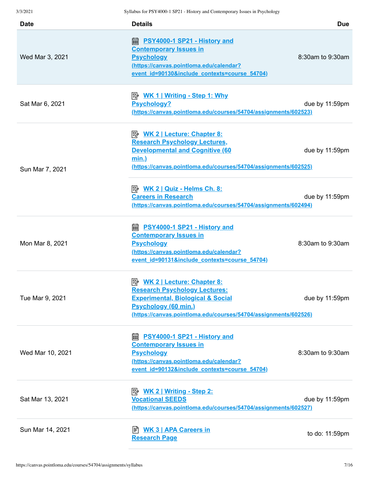| <b>Date</b>      | <b>Details</b>                                                                                                                                                                                                              | <b>Due</b>       |
|------------------|-----------------------------------------------------------------------------------------------------------------------------------------------------------------------------------------------------------------------------|------------------|
| Wed Mar 3, 2021  | ■ <u>PSY4000-1 SP21 - History and</u><br><b>Contemporary Issues in</b><br><b>Psychology</b><br>(https://canvas.pointloma.edu/calendar?<br>event id=90130&include contexts=course 54704)                                     | 8:30am to 9:30am |
| Sat Mar 6, 2021  | <u>  WK 1   Writing - Step 1: Why</u><br><b>Psychology?</b><br>(https://canvas.pointloma.edu/courses/54704/assignments/602523)                                                                                              | due by 11:59pm   |
| Sun Mar 7, 2021  | <b>Research Psychology Lectures,</b><br><b>Developmental and Cognitive (60</b><br>$min.$ )<br>(https://canvas.pointloma.edu/courses/54704/assignments/602525)                                                               | due by 11:59pm   |
|                  | <b>Careers in Research</b><br>(https://canvas.pointloma.edu/courses/54704/assignments/602494)                                                                                                                               | due by 11:59pm   |
| Mon Mar 8, 2021  | <b>a PSY4000-1 SP21 - History and</b><br><b>Contemporary Issues in</b><br><b>Psychology</b><br>(https://canvas.pointloma.edu/calendar?<br>event_id=90131&include_contexts=course_54704)                                     | 8:30am to 9:30am |
| Tue Mar 9, 2021  | <b>WK 2   Lecture: Chapter 8:</b><br>ぽん<br><u> Research Psychology Lectures:</u><br><b>Experimental, Biological &amp; Social</b><br>Psychology (60 min.)<br>(https://canvas.pointloma.edu/courses/54704/assignments/602526) | due by 11:59pm   |
| Wed Mar 10, 2021 | PSY4000-1 SP21 - History and<br>繭<br><b>Contemporary Issues in</b><br><b>Psychology</b><br>(https://canvas.pointloma.edu/calendar?<br>event id=90132&include contexts=course 54704)                                         | 8:30am to 9:30am |
| Sat Mar 13, 2021 | <b>Vocational SEEDS</b><br>(https://canvas.pointloma.edu/courses/54704/assignments/602527)                                                                                                                                  | due by 11:59pm   |
| Sun Mar 14, 2021 | <b>Research Page</b>                                                                                                                                                                                                        | to do: 11:59pm   |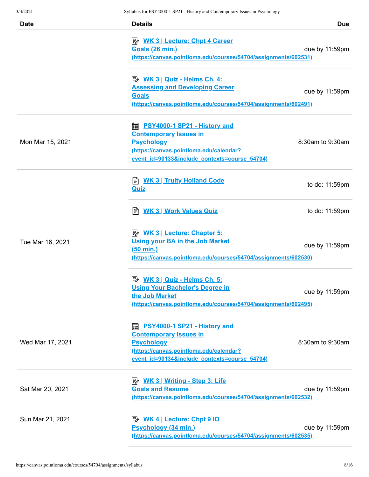| <b>Date</b>      | <b>Details</b>                                                                                                                                                                          | <b>Due</b>       |
|------------------|-----------------------------------------------------------------------------------------------------------------------------------------------------------------------------------------|------------------|
|                  | <b>B</b> WK 3   Lecture: Chpt 4 Career<br><b>Goals (26 min.)</b><br>(https://canvas.pointloma.edu/courses/54704/assignments/602531)                                                     | due by 11:59pm   |
|                  | $\Rightarrow$ WK 3   Quiz - Helms Ch. 4:<br><b>Assessing and Developing Career</b><br><b>Goals</b><br>(https://canvas.pointloma.edu/courses/54704/assignments/602491)                   | due by 11:59pm   |
| Mon Mar 15, 2021 | PSY4000-1 SP21 - History and<br>酾<br><b>Contemporary Issues in</b><br><b>Psychology</b><br>(https://canvas.pointloma.edu/calendar?<br>event id=90133&include contexts=course 54704)     | 8:30am to 9:30am |
|                  | ■ <b>WK 3   Truity Holland Code</b><br><b>Quiz</b>                                                                                                                                      | to do: 11:59pm   |
|                  | <b>WK 3   Work Values Quiz</b><br>訚                                                                                                                                                     | to do: 11:59pm   |
| Tue Mar 16, 2021 | <b>E</b> <u>WK 3   Lecture: Chapter 5:</u><br><b>Using your BA in the Job Market</b><br><u>(50 min.)</u><br>(https://canvas.pointloma.edu/courses/54704/assignments/602530)             | due by 11:59pm   |
|                  | $\Rightarrow$ WK 3   Quiz - Helms Ch. 5:<br><b>Using Your Bachelor's Degree in</b><br>the Job Market<br>(https://canvas.pointloma.edu/courses/54704/assignments/602495)                 | due by 11:59pm   |
| Wed Mar 17, 2021 | <b>■ PSY4000-1 SP21 - History and</b><br><b>Contemporary Issues in</b><br><b>Psychology</b><br>(https://canvas.pointloma.edu/calendar?<br>event id=90134&include contexts=course 54704) | 8:30am to 9:30am |
| Sat Mar 20, 2021 | <b>Goals and Resume</b><br>(https://canvas.pointloma.edu/courses/54704/assignments/602532)                                                                                              | due by 11:59pm   |
| Sun Mar 21, 2021 | Psychology (34 min.)<br><u>(https://canvas.pointloma.edu/courses/54704/assignments/602535)</u>                                                                                          | due by 11:59pm   |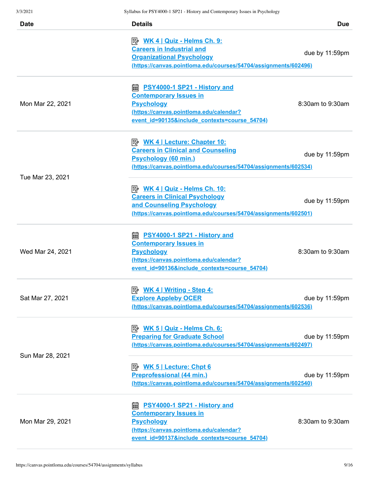| Date             | <b>Details</b>                                                                                                                                                                             | <b>Due</b>        |
|------------------|--------------------------------------------------------------------------------------------------------------------------------------------------------------------------------------------|-------------------|
|                  | <b>Careers in Industrial and</b><br><b>Organizational Psychology</b><br>(https://canvas.pointloma.edu/courses/54704/assignments/602496)                                                    | due by 11:59pm    |
| Mon Mar 22, 2021 | <b>■ PSY4000-1 SP21 - History and</b><br><b>Contemporary Issues in</b><br><b>Psychology</b><br>(https://canvas.pointloma.edu/calendar?<br>event id=90135&include contexts=course 54704)    | 8:30am to 9:30am  |
| Tue Mar 23, 2021 | <b>Careers in Clinical and Counseling</b><br><b>Psychology (60 min.)</b><br>(https://canvas.pointloma.edu/courses/54704/assignments/602534)                                                | due by 11:59pm    |
|                  | $\boxed{\Rightarrow}$ WK 4   Quiz - Helms Ch. 10:<br><b>Careers in Clinical Psychology</b><br>and Counseling Psychology<br>(https://canvas.pointloma.edu/courses/54704/assignments/602501) | due by $11:59$ pm |
| Wed Mar 24, 2021 | <b>■ PSY4000-1 SP21 - History and</b><br><b>Contemporary Issues in</b><br><b>Psychology</b><br>(https://canvas.pointloma.edu/calendar?<br>event id=90136&include contexts=course 54704)    | 8:30am to 9:30am  |
| Sat Mar 27, 2021 | <b>B</b> WK 4   Writing - Step 4:<br><b>Explore Appleby OCER</b><br>(https://canvas.pointloma.edu/courses/54704/assignments/602536)                                                        | due by 11:59pm    |
| Sun Mar 28, 2021 | <b>Preparing for Graduate School</b><br>(https://canvas.pointloma.edu/courses/54704/assignments/602497)                                                                                    | due by 11:59pm    |
|                  | <b>Preprofessional (44 min.)</b><br>(https://canvas.pointloma.edu/courses/54704/assignments/602540)                                                                                        | due by 11:59pm    |
| Mon Mar 29, 2021 | <b>a.</b> PSY4000-1 SP21 - History and<br><b>Contemporary Issues in</b><br><b>Psychology</b><br>(https://canvas.pointloma.edu/calendar?<br>event id=90137&include contexts=course 54704)   | 8:30am to 9:30am  |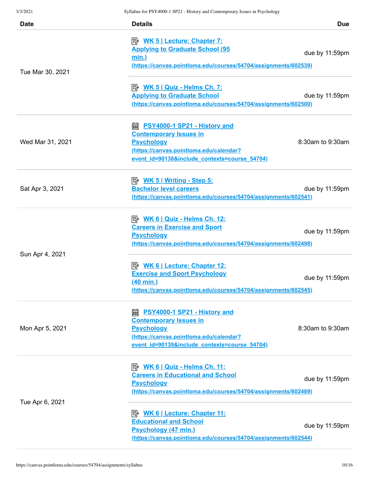| <b>Date</b>      | <b>Details</b>                                                                                                                                                                                                                     | <b>Due</b>        |
|------------------|------------------------------------------------------------------------------------------------------------------------------------------------------------------------------------------------------------------------------------|-------------------|
|                  | <b>E</b> <u>WK 5   Lecture: Chapter 7:</u><br><b>Applying to Graduate School (95</b><br><u>min.)</u><br><u>(https://canvas.pointloma.edu/courses/54704/assignments/602539)</u>                                                     | due by 11:59pm    |
| Tue Mar 30, 2021 | <u>  WK 5   Quiz - Helms Ch. 7:</u><br><b>Applying to Graduate School</b><br>(https://canvas.pointloma.edu/courses/54704/assignments/602500)                                                                                       | due by 11:59pm    |
| Wed Mar 31, 2021 | https://est.information.com/intervalent/community/intervalsed/intervalsed/interv<br><b>Contemporary Issues in</b><br><b>Psychology</b><br>(https://canvas.pointloma.edu/calendar?<br>event id=90138&include contexts=course 54704) | 8:30am to 9:30am  |
| Sat Apr 3, 2021  | <b>Bachelor level careers</b><br>(https://canvas.pointloma.edu/courses/54704/assignments/602541)                                                                                                                                   | due by 11:59pm    |
|                  | $\Rightarrow$ WK 6   Quiz - Helms Ch. 12:<br><b>Careers in Exercise and Sport</b><br><b>Psychology</b><br>(https://canvas.pointloma.edu/courses/54704/assignments/602498)                                                          | due by $11:59$ pm |
| Sun Apr 4, 2021  | <b>Exercise and Sport Psychology</b><br><u>(40 min.)</u><br>(https://canvas.pointloma.edu/courses/54704/assignments/602545)                                                                                                        | due by 11:59pm    |
| Mon Apr 5, 2021  | ■ <u>PSY4000-1 SP21 - History and</u><br><b>Contemporary Issues in</b><br><b>Psychology</b><br>(https://canvas.pointloma.edu/calendar?<br>event id=90139&include contexts=course 54704)                                            | 8:30am to 9:30am  |
| Tue Apr 6, 2021  | $\Rightarrow$ WK 6   Quiz - Helms Ch. 11:<br><b>Careers in Educational and School</b><br><b>Psychology</b><br>(https://canvas.pointloma.edu/courses/54704/assignments/602489)                                                      | due by 11:59pm    |
|                  | <b>Educational and School</b><br><b>Psychology (47 min.)</b><br>(https://canvas.pointloma.edu/courses/54704/assignments/602544)                                                                                                    | due by 11:59pm    |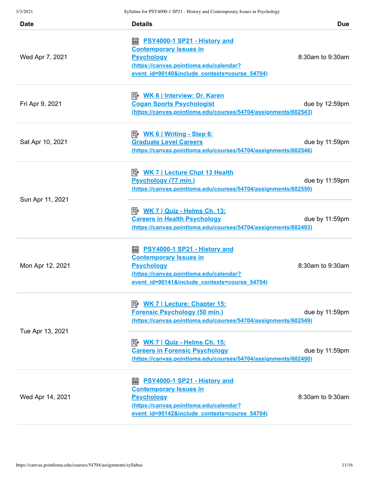| <b>Date</b>      | <b>Details</b>                                                                                                                                                                          | <b>Due</b>       |
|------------------|-----------------------------------------------------------------------------------------------------------------------------------------------------------------------------------------|------------------|
| Wed Apr 7, 2021  | ■ <u>PSY4000-1 SP21 - History and</u><br><b>Contemporary Issues in</b><br><b>Psychology</b><br>(https://canvas.pointloma.edu/calendar?<br>event id=90140&include contexts=course 54704) | 8:30am to 9:30am |
| Fri Apr 9, 2021  | <b>Cogan Sports Psychologist</b><br>(https://canvas.pointloma.edu/courses/54704/assignments/602543)                                                                                     | due by 12:59pm   |
| Sat Apr 10, 2021 | <u>  WK 6   Writing - Step 6:</u><br><b>Graduate Level Careers</b><br>(https://canvas.pointloma.edu/courses/54704/assignments/602546)                                                   | due by 11:59pm   |
| Sun Apr 11, 2021 | Psychology (77 min.)<br>(https://canvas.pointloma.edu/courses/54704/assignments/602550)                                                                                                 | due by 11:59pm   |
|                  | $\boxed{\Rightarrow}$ WK 7   Quiz - Helms Ch. 13:<br><b>Careers in Health Psychology</b><br>(https://canvas.pointloma.edu/courses/54704/assignments/602493)                             | due by 11:59pm   |
| Mon Apr 12, 2021 | <b>a PSY4000-1 SP21 - History and</b><br><b>Contemporary Issues in</b><br><b>Psychology</b><br>(https://canvas.pointloma.edu/calendar?<br>event_id=90141&include_contexts=course_54704) | 8:30am to 9:30am |
| Tue Apr 13, 2021 | <b>E</b> <u>WK 7   Lecture: Chapter 15:</u><br><b>Forensic Psychology (50 min.)</b><br>(https://canvas.pointloma.edu/courses/54704/assignments/602549)                                  | due by 11:59pm   |
|                  | $\boxed{\Rightarrow}$ WK 7   Quiz - Helms Ch. 15:<br><b>Careers in Forensic Psychology</b><br>(https://canvas.pointloma.edu/courses/54704/assignments/602490)                           | due by 11:59pm   |
| Wed Apr 14, 2021 | <b>a PSY4000-1 SP21 - History and</b><br><b>Contemporary Issues in</b><br><b>Psychology</b><br>(https://canvas.pointloma.edu/calendar?<br>event id=90142&include contexts=course 54704) | 8:30am to 9:30am |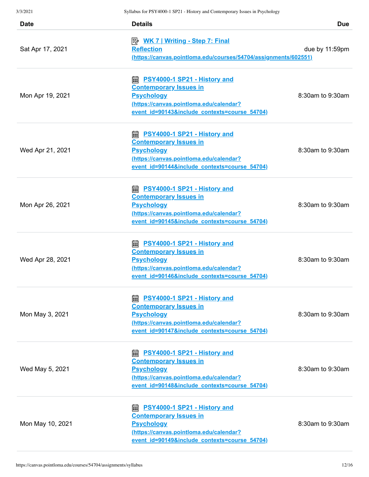| <b>Date</b>      | <b>Details</b>                                                                                                                                                                                                                         | <b>Due</b>       |
|------------------|----------------------------------------------------------------------------------------------------------------------------------------------------------------------------------------------------------------------------------------|------------------|
| Sat Apr 17, 2021 | <b>Reflection</b><br>(https://canvas.pointloma.edu/courses/54704/assignments/602551)                                                                                                                                                   | due by 11:59pm   |
| Mon Apr 19, 2021 | https://www.html?https://www.html?https://www.https://www.https://www.https://www<br><b>Contemporary Issues in</b><br><b>Psychology</b><br>(https://canvas.pointloma.edu/calendar?<br>event id=90143&include contexts=course 54704)    | 8:30am to 9:30am |
| Wed Apr 21, 2021 | https://est.information.com/intervalent/community/intervals.community/intervalsional<br><b>Contemporary Issues in</b><br><b>Psychology</b><br>(https://canvas.pointloma.edu/calendar?<br>event id=90144&include contexts=course 54704) | 8:30am to 9:30am |
| Mon Apr 26, 2021 | <b>a.</b> PSY4000-1 SP21 - History and<br><b>Contemporary Issues in</b><br><b>Psychology</b><br>(https://canvas.pointloma.edu/calendar?<br>event id=90145&include contexts=course 54704)                                               | 8:30am to 9:30am |
| Wed Apr 28, 2021 | <b>a PSY4000-1 SP21 - History and</b><br><b>Contemporary Issues in</b><br><b>Psychology</b><br>(https://canvas.pointloma.edu/calendar?<br>event id=90146&include contexts=course 54704)                                                | 8:30am to 9:30am |
| Mon May 3, 2021  | <b>a PSY4000-1 SP21 - History and</b><br><b>Contemporary Issues in</b><br><b>Psychology</b><br>(https://canvas.pointloma.edu/calendar?<br>event id=90147&include contexts=course 54704)                                                | 8:30am to 9:30am |
| Wed May 5, 2021  | <b>a PSY4000-1 SP21 - History and</b><br><b>Contemporary Issues in</b><br><b>Psychology</b><br>(https://canvas.pointloma.edu/calendar?<br>event id=90148&include contexts=course 54704)                                                | 8:30am to 9:30am |
| Mon May 10, 2021 | ■ <u>PSY4000-1 SP21 - History and</u><br><b>Contemporary Issues in</b><br><b>Psychology</b><br>(https://canvas.pointloma.edu/calendar?<br>event id=90149&include contexts=course 54704)                                                | 8:30am to 9:30am |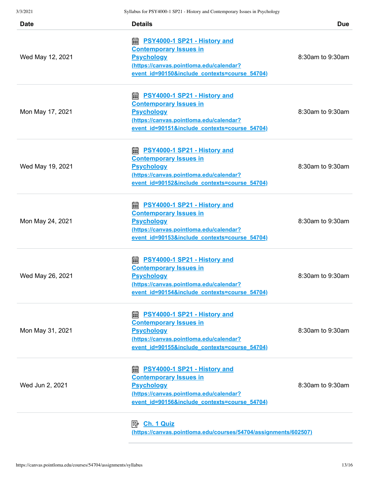| <b>Date</b>      | <b>Details</b>                                                                                                                                                                          | <b>Due</b>       |
|------------------|-----------------------------------------------------------------------------------------------------------------------------------------------------------------------------------------|------------------|
| Wed May 12, 2021 | https://www.bistory.and<br><b>Contemporary Issues in</b><br><b>Psychology</b><br>(https://canvas.pointloma.edu/calendar?<br>event id=90150&include contexts=course 54704)               | 8:30am to 9:30am |
| Mon May 17, 2021 | <b>a PSY4000-1 SP21 - History and</b><br><b>Contemporary Issues in</b><br><b>Psychology</b><br>(https://canvas.pointloma.edu/calendar?<br>event id=90151&include contexts=course 54704) | 8:30am to 9:30am |
| Wed May 19, 2021 | <b>a PSY4000-1 SP21 - History and</b><br><b>Contemporary Issues in</b><br><b>Psychology</b><br>(https://canvas.pointloma.edu/calendar?<br>event id=90152&include contexts=course 54704) | 8:30am to 9:30am |
| Mon May 24, 2021 | <b>a PSY4000-1 SP21 - History and</b><br><b>Contemporary Issues in</b><br><b>Psychology</b><br>(https://canvas.pointloma.edu/calendar?<br>event id=90153&include contexts=course 54704) | 8:30am to 9:30am |
| Wed May 26, 2021 | <b>a PSY4000-1 SP21 - History and</b><br><b>Contemporary Issues in</b><br><b>Psychology</b><br>(https://canvas.pointloma.edu/calendar?<br>event id=90154&include contexts=course 54704) | 8:30am to 9:30am |
| Mon May 31, 2021 | <b>■ PSY4000-1 SP21 - History and</b><br><b>Contemporary Issues in</b><br><b>Psychology</b><br>(https://canvas.pointloma.edu/calendar?<br>event id=90155&include contexts=course 54704) | 8:30am to 9:30am |
| Wed Jun 2, 2021  | https://www.bistory.and<br><b>Contemporary Issues in</b><br><b>Psychology</b><br>(https://canvas.pointloma.edu/calendar?<br>event id=90156&include contexts=course 54704)               | 8:30am to 9:30am |
|                  | m.                                                                                                                                                                                      |                  |

 **Ch. 1 Quiz [\(https://canvas.pointloma.edu/courses/54704/assignments/602507\)](https://canvas.pointloma.edu/courses/54704/assignments/602507)**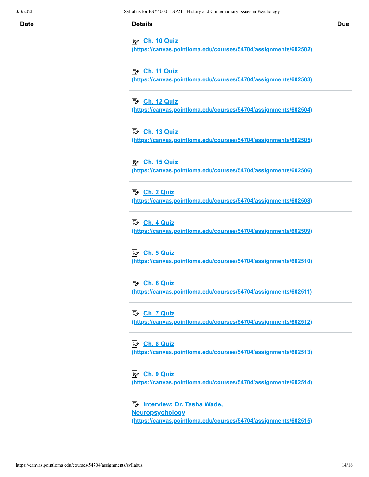|  | Dι |
|--|----|

3/3/2021 Syllabus for PSY4000-1 SP21 - History and Contemporary Issues in Psychology **Date Details Due Ch. 10 Quiz [\(https://canvas.pointloma.edu/courses/54704/assignments/602502\)](https://canvas.pointloma.edu/courses/54704/assignments/602502) Ch. 11 Quiz [\(https://canvas.pointloma.edu/courses/54704/assignments/602503\)](https://canvas.pointloma.edu/courses/54704/assignments/602503) Ch. 12 Quiz [\(https://canvas.pointloma.edu/courses/54704/assignments/602504\)](https://canvas.pointloma.edu/courses/54704/assignments/602504)**

> **Ch. 13 Quiz [\(https://canvas.pointloma.edu/courses/54704/assignments/602505\)](https://canvas.pointloma.edu/courses/54704/assignments/602505)**

> **Ch. 15 Quiz [\(https://canvas.pointloma.edu/courses/54704/assignments/602506\)](https://canvas.pointloma.edu/courses/54704/assignments/602506)**

> **Ch. 2 Quiz [\(https://canvas.pointloma.edu/courses/54704/assignments/602508\)](https://canvas.pointloma.edu/courses/54704/assignments/602508)**

> **Ch. 4 Quiz [\(https://canvas.pointloma.edu/courses/54704/assignments/602509\)](https://canvas.pointloma.edu/courses/54704/assignments/602509)**

> **Ch. 5 Quiz [\(https://canvas.pointloma.edu/courses/54704/assignments/602510\)](https://canvas.pointloma.edu/courses/54704/assignments/602510)**

**Ch. 6 Quiz**

**[\(https://canvas.pointloma.edu/courses/54704/assignments/602511\)](https://canvas.pointloma.edu/courses/54704/assignments/602511)**

#### **Ch. 7 Quiz**

**[\(https://canvas.pointloma.edu/courses/54704/assignments/602512\)](https://canvas.pointloma.edu/courses/54704/assignments/602512)**

#### **Ch. 8 Quiz**

**[\(https://canvas.pointloma.edu/courses/54704/assignments/602513\)](https://canvas.pointloma.edu/courses/54704/assignments/602513)**

#### **Ch. 9 Quiz**

**[\(https://canvas.pointloma.edu/courses/54704/assignments/602514\)](https://canvas.pointloma.edu/courses/54704/assignments/602514)**

 **Interview: Dr. Tasha Wade, Neuropsychology [\(https://canvas.pointloma.edu/courses/54704/assignments/602515\)](https://canvas.pointloma.edu/courses/54704/assignments/602515)**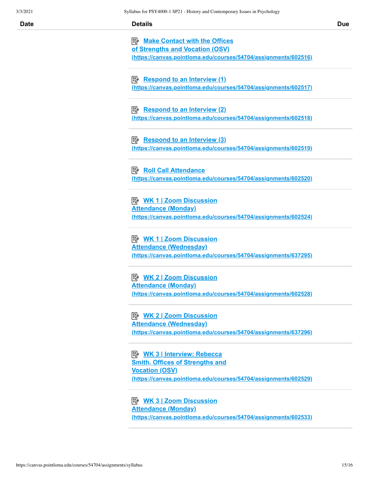|  |  | Ľ |
|--|--|---|
|  |  |   |

| Date | <b>Details</b>                                                                                   | <b>Due</b> |
|------|--------------------------------------------------------------------------------------------------|------------|
|      | Make Contact with the Offices                                                                    |            |
|      | of Strengths and Vocation (OSV)                                                                  |            |
|      | (https://canvas.pointloma.edu/courses/54704/assignments/602516)                                  |            |
|      |                                                                                                  |            |
|      | Respond to an Interview (1)                                                                      |            |
|      | (https://canvas.pointloma.edu/courses/54704/assignments/602517)                                  |            |
|      |                                                                                                  |            |
|      | $\Rightarrow$ Respond to an Interview (2)                                                        |            |
|      | (https://canvas.pointloma.edu/courses/54704/assignments/602518)                                  |            |
|      |                                                                                                  |            |
|      | $\Rightarrow$ Respond to an Interview (3)                                                        |            |
|      | (https://canvas.pointloma.edu/courses/54704/assignments/602519)                                  |            |
|      |                                                                                                  |            |
|      |                                                                                                  |            |
|      | <b>B</b> Roll Call Attendance                                                                    |            |
|      | (https://canvas.pointloma.edu/courses/54704/assignments/602520)                                  |            |
|      |                                                                                                  |            |
|      |                                                                                                  |            |
|      | <b>Attendance (Monday)</b>                                                                       |            |
|      | (https://canvas.pointloma.edu/courses/54704/assignments/602524)                                  |            |
|      |                                                                                                  |            |
|      |                                                                                                  |            |
|      | <b>Attendance (Wednesday)</b><br>(https://canvas.pointloma.edu/courses/54704/assignments/637295) |            |
|      |                                                                                                  |            |
|      |                                                                                                  |            |
|      |                                                                                                  |            |
|      | <b>Attendance (Monday)</b><br>(https://canvas.pointloma.edu/courses/54704/assignments/602528)    |            |
|      |                                                                                                  |            |
|      |                                                                                                  |            |
|      | <b>Attendance (Wednesday)</b>                                                                    |            |
|      | (https://canvas.pointloma.edu/courses/54704/assignments/637296)                                  |            |
|      |                                                                                                  |            |
|      |                                                                                                  |            |
|      | <b>B</b> WK 3   Interview: Rebecca                                                               |            |
|      | <b>Smith, Offices of Strengths and</b><br><b>Vocation (OSV)</b>                                  |            |
|      | (https://canvas.pointloma.edu/courses/54704/assignments/602529)                                  |            |
|      |                                                                                                  |            |
|      | $\mathbb{E}_k$ WK 3.1.700m Discussion                                                            |            |

 **WK 3 | Zoom Discussion Attendance (Monday) [\(https://canvas.pointloma.edu/courses/54704/assignments/602533\)](https://canvas.pointloma.edu/courses/54704/assignments/602533)**